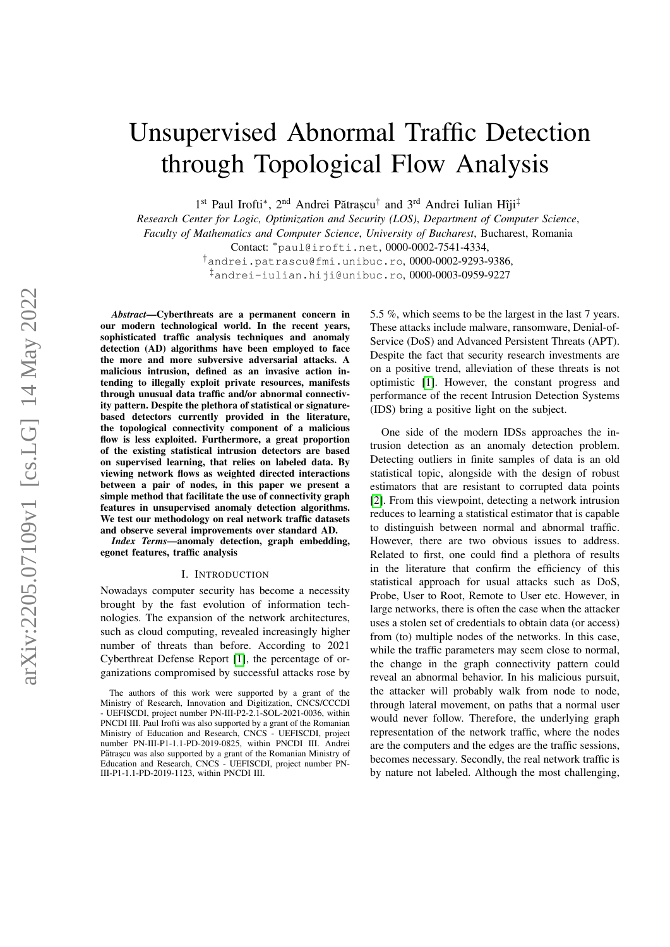# Unsupervised Abnormal Traffic Detection through Topological Flow Analysis

1<sup>st</sup> Paul Irofti<sup>\*</sup>, 2<sup>nd</sup> Andrei Pătrașcu<sup>†</sup> and 3<sup>rd</sup> Andrei Iulian Hîji<sup>‡</sup>

*Research Center for Logic, Optimization and Security (LOS)*, *Department of Computer Science*, *Faculty of Mathematics and Computer Science*, *University of Bucharest*, Bucharest, Romania Contact: <sup>∗</sup>paul@irofti.net, 0000-0002-7541-4334,

> †andrei.patrascu@fmi.unibuc.ro, 0000-0002-9293-9386, ‡andrei-iulian.hiji@unibuc.ro, 0000-0003-0959-9227

*Abstract*—Cyberthreats are a permanent concern in our modern technological world. In the recent years, sophisticated traffic analysis techniques and anomaly detection (AD) algorithms have been employed to face the more and more subversive adversarial attacks. A malicious intrusion, defined as an invasive action intending to illegally exploit private resources, manifests through unusual data traffic and/or abnormal connectivity pattern. Despite the plethora of statistical or signaturebased detectors currently provided in the literature, the topological connectivity component of a malicious flow is less exploited. Furthermore, a great proportion of the existing statistical intrusion detectors are based on supervised learning, that relies on labeled data. By viewing network flows as weighted directed interactions between a pair of nodes, in this paper we present a simple method that facilitate the use of connectivity graph features in unsupervised anomaly detection algorithms. We test our methodology on real network traffic datasets and observe several improvements over standard AD.

*Index Terms*—anomaly detection, graph embedding, egonet features, traffic analysis

### I. INTRODUCTION

Nowadays computer security has become a necessity brought by the fast evolution of information technologies. The expansion of the network architectures, such as cloud computing, revealed increasingly higher number of threats than before. According to 2021 Cyberthreat Defense Report [\[1\]](#page-4-0), the percentage of organizations compromised by successful attacks rose by

5.5 %, which seems to be the largest in the last 7 years. These attacks include malware, ransomware, Denial-of-Service (DoS) and Advanced Persistent Threats (APT). Despite the fact that security research investments are on a positive trend, alleviation of these threats is not optimistic [\[1\]](#page-4-0). However, the constant progress and performance of the recent Intrusion Detection Systems (IDS) bring a positive light on the subject.

One side of the modern IDSs approaches the intrusion detection as an anomaly detection problem. Detecting outliers in finite samples of data is an old statistical topic, alongside with the design of robust estimators that are resistant to corrupted data points [\[2\]](#page-5-0). From this viewpoint, detecting a network intrusion reduces to learning a statistical estimator that is capable to distinguish between normal and abnormal traffic. However, there are two obvious issues to address. Related to first, one could find a plethora of results in the literature that confirm the efficiency of this statistical approach for usual attacks such as DoS, Probe, User to Root, Remote to User etc. However, in large networks, there is often the case when the attacker uses a stolen set of credentials to obtain data (or access) from (to) multiple nodes of the networks. In this case, while the traffic parameters may seem close to normal, the change in the graph connectivity pattern could reveal an abnormal behavior. In his malicious pursuit, the attacker will probably walk from node to node, through lateral movement, on paths that a normal user would never follow. Therefore, the underlying graph representation of the network traffic, where the nodes are the computers and the edges are the traffic sessions, becomes necessary. Secondly, the real network traffic is by nature not labeled. Although the most challenging,

The authors of this work were supported by a grant of the Ministry of Research, Innovation and Digitization, CNCS/CCCDI - UEFISCDI, project number PN-III-P2-2.1-SOL-2021-0036, within PNCDI III. Paul Irofti was also supported by a grant of the Romanian Ministry of Education and Research, CNCS - UEFISCDI, project number PN-III-P1-1.1-PD-2019-0825, within PNCDI III. Andrei Pătrașcu was also supported by a grant of the Romanian Ministry of Education and Research, CNCS - UEFISCDI, project number PN-III-P1-1.1-PD-2019-1123, within PNCDI III.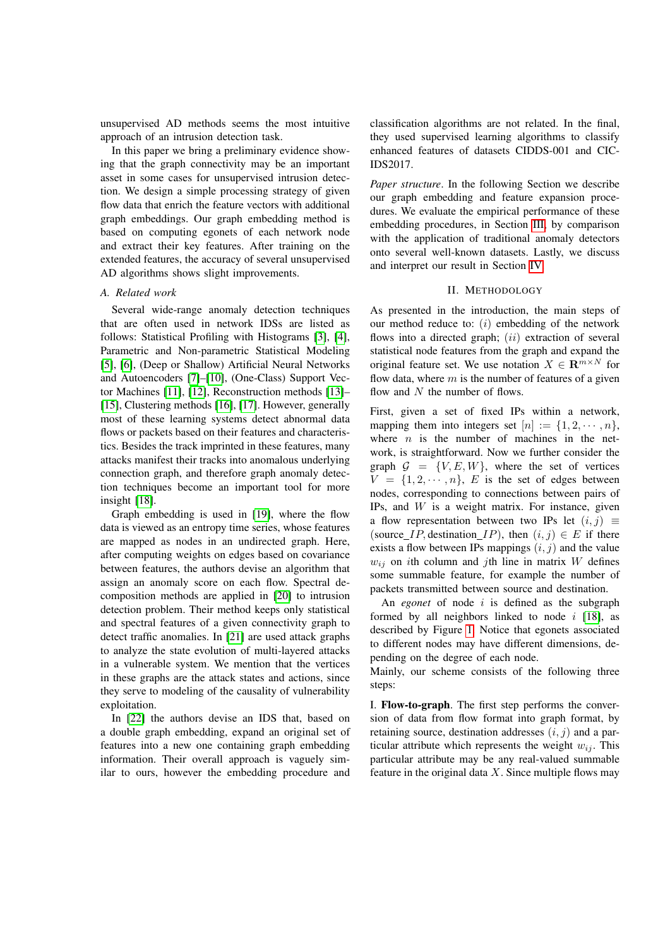unsupervised AD methods seems the most intuitive approach of an intrusion detection task.

In this paper we bring a preliminary evidence showing that the graph connectivity may be an important asset in some cases for unsupervised intrusion detection. We design a simple processing strategy of given flow data that enrich the feature vectors with additional graph embeddings. Our graph embedding method is based on computing egonets of each network node and extract their key features. After training on the extended features, the accuracy of several unsupervised AD algorithms shows slight improvements.

## *A. Related work*

Several wide-range anomaly detection techniques that are often used in network IDSs are listed as follows: Statistical Profiling with Histograms [\[3\]](#page-5-1), [\[4\]](#page-5-2), Parametric and Non-parametric Statistical Modeling [\[5\]](#page-5-3), [\[6\]](#page-5-4), (Deep or Shallow) Artificial Neural Networks and Autoencoders [\[7\]](#page-5-5)–[\[10\]](#page-5-6), (One-Class) Support Vector Machines [\[11\]](#page-5-7), [\[12\]](#page-5-8), Reconstruction methods [\[13\]](#page-5-9)– [\[15\]](#page-5-10), Clustering methods [\[16\]](#page-5-11), [\[17\]](#page-5-12). However, generally most of these learning systems detect abnormal data flows or packets based on their features and characteristics. Besides the track imprinted in these features, many attacks manifest their tracks into anomalous underlying connection graph, and therefore graph anomaly detection techniques become an important tool for more insight [\[18\]](#page-5-13).

Graph embedding is used in [\[19\]](#page-5-14), where the flow data is viewed as an entropy time series, whose features are mapped as nodes in an undirected graph. Here, after computing weights on edges based on covariance between features, the authors devise an algorithm that assign an anomaly score on each flow. Spectral decomposition methods are applied in [\[20\]](#page-5-15) to intrusion detection problem. Their method keeps only statistical and spectral features of a given connectivity graph to detect traffic anomalies. In [\[21\]](#page-5-16) are used attack graphs to analyze the state evolution of multi-layered attacks in a vulnerable system. We mention that the vertices in these graphs are the attack states and actions, since they serve to modeling of the causality of vulnerability exploitation.

In [\[22\]](#page-5-17) the authors devise an IDS that, based on a double graph embedding, expand an original set of features into a new one containing graph embedding information. Their overall approach is vaguely similar to ours, however the embedding procedure and classification algorithms are not related. In the final, they used supervised learning algorithms to classify enhanced features of datasets CIDDS-001 and CIC-IDS2017.

*Paper structure*. In the following Section we describe our graph embedding and feature expansion procedures. We evaluate the empirical performance of these embedding procedures, in Section [III,](#page-2-0) by comparison with the application of traditional anomaly detectors onto several well-known datasets. Lastly, we discuss and interpret our result in Section [IV.](#page-3-0)

## II. METHODOLOGY

As presented in the introduction, the main steps of our method reduce to:  $(i)$  embedding of the network flows into a directed graph;  $(ii)$  extraction of several statistical node features from the graph and expand the original feature set. We use notation  $X \in \mathbb{R}^{m \times N}$  for flow data, where  $m$  is the number of features of a given flow and  $N$  the number of flows.

First, given a set of fixed IPs within a network, mapping them into integers set  $[n] := \{1, 2, \dots, n\},\$ where  $n$  is the number of machines in the network, is straightforward. Now we further consider the graph  $G = \{V, E, W\}$ , where the set of vertices  $V = \{1, 2, \dots, n\}$ , E is the set of edges between nodes, corresponding to connections between pairs of IPs, and  $W$  is a weight matrix. For instance, given a flow representation between two IPs let  $(i, j) \equiv$ (source *IP*, destination *IP*), then  $(i, j) \in E$  if there exists a flow between IPs mappings  $(i, j)$  and the value  $w_{ij}$  on ith column and jth line in matrix W defines some summable feature, for example the number of packets transmitted between source and destination.

An *egonet* of node i is defined as the subgraph formed by all neighbors linked to node  $i$  [\[18\]](#page-5-13), as described by Figure [1.](#page-2-1) Notice that egonets associated to different nodes may have different dimensions, depending on the degree of each node.

Mainly, our scheme consists of the following three steps:

I. Flow-to-graph. The first step performs the conversion of data from flow format into graph format, by retaining source, destination addresses  $(i, j)$  and a particular attribute which represents the weight  $w_{ij}$ . This particular attribute may be any real-valued summable feature in the original data  $X$ . Since multiple flows may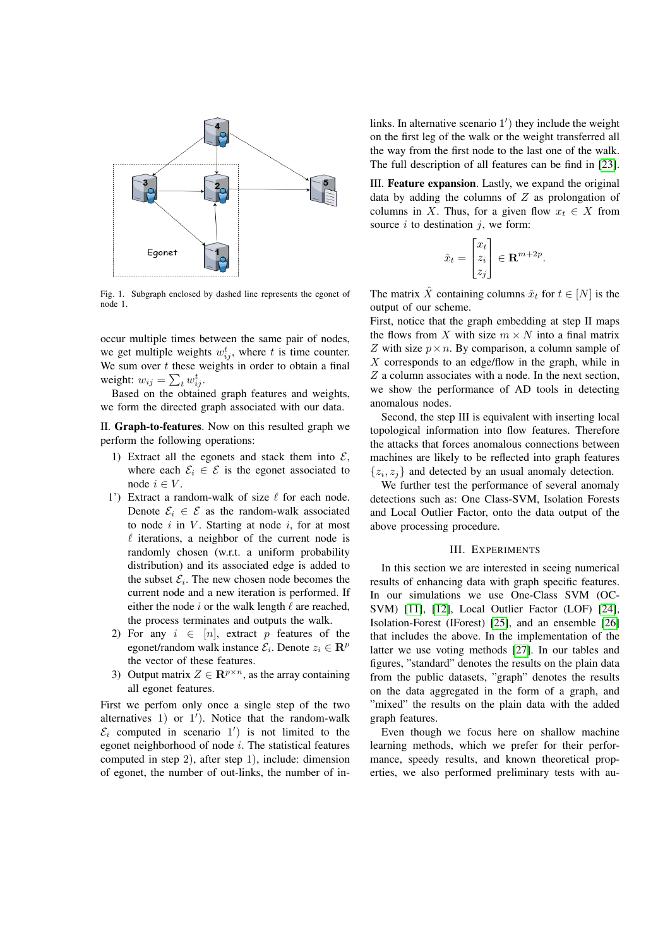

<span id="page-2-1"></span>Fig. 1. Subgraph enclosed by dashed line represents the egonet of node 1.

occur multiple times between the same pair of nodes, we get multiple weights  $w_{ij}^t$ , where t is time counter. We sum over  $t$  these weights in order to obtain a final weight:  $w_{ij} = \sum_t w_{ij}^t$ .

Based on the obtained graph features and weights, we form the directed graph associated with our data.

II. Graph-to-features. Now on this resulted graph we perform the following operations:

- 1) Extract all the egonets and stack them into  $\mathcal{E}$ , where each  $\mathcal{E}_i \in \mathcal{E}$  is the egonet associated to node  $i \in V$ .
- 1') Extract a random-walk of size  $\ell$  for each node. Denote  $\mathcal{E}_i \in \mathcal{E}$  as the random-walk associated to node  $i$  in  $V$ . Starting at node  $i$ , for at most  $\ell$  iterations, a neighbor of the current node is randomly chosen (w.r.t. a uniform probability distribution) and its associated edge is added to the subset  $\mathcal{E}_i$ . The new chosen node becomes the current node and a new iteration is performed. If either the node  $i$  or the walk length  $\ell$  are reached, the process terminates and outputs the walk.
- 2) For any  $i \in [n]$ , extract p features of the egonet/random walk instance  $\mathcal{E}_i$ . Denote  $z_i \in \mathbb{R}^p$ the vector of these features.
- 3) Output matrix  $Z \in \mathbb{R}^{p \times n}$ , as the array containing all egonet features.

First we perfom only once a single step of the two alternatives  $1)$  or  $1'$ ). Notice that the random-walk  $\mathcal{E}_i$  computed in scenario 1') is not limited to the egonet neighborhood of node i. The statistical features computed in step 2), after step 1), include: dimension of egonet, the number of out-links, the number of in-

links. In alternative scenario 1') they include the weight on the first leg of the walk or the weight transferred all the way from the first node to the last one of the walk. The full description of all features can be find in [\[23\]](#page-5-18).

III. Feature expansion. Lastly, we expand the original data by adding the columns of  $Z$  as prolongation of columns in X. Thus, for a given flow  $x_t \in X$  from source  $i$  to destination  $j$ , we form:

$$
\hat{x}_t = \begin{bmatrix} x_t \\ z_i \\ z_j \end{bmatrix} \in \mathbf{R}^{m+2p}.
$$

The matrix  $\hat{X}$  containing columns  $\hat{x}_t$  for  $t \in [N]$  is the output of our scheme.

First, notice that the graph embedding at step II maps the flows from X with size  $m \times N$  into a final matrix Z with size  $p \times n$ . By comparison, a column sample of  $X$  corresponds to an edge/flow in the graph, while in Z a column associates with a node. In the next section, we show the performance of AD tools in detecting anomalous nodes.

Second, the step III is equivalent with inserting local topological information into flow features. Therefore the attacks that forces anomalous connections between machines are likely to be reflected into graph features  $\{z_i, z_j\}$  and detected by an usual anomaly detection.

We further test the performance of several anomaly detections such as: One Class-SVM, Isolation Forests and Local Outlier Factor, onto the data output of the above processing procedure.

#### III. EXPERIMENTS

<span id="page-2-0"></span>In this section we are interested in seeing numerical results of enhancing data with graph specific features. In our simulations we use One-Class SVM (OC-SVM) [\[11\]](#page-5-7), [\[12\]](#page-5-8), Local Outlier Factor (LOF) [\[24\]](#page-5-19), Isolation-Forest (IForest) [\[25\]](#page-5-20), and an ensemble [\[26\]](#page-5-21) that includes the above. In the implementation of the latter we use voting methods [\[27\]](#page-5-22). In our tables and figures, "standard" denotes the results on the plain data from the public datasets, "graph" denotes the results on the data aggregated in the form of a graph, and "mixed" the results on the plain data with the added graph features.

Even though we focus here on shallow machine learning methods, which we prefer for their performance, speedy results, and known theoretical properties, we also performed preliminary tests with au-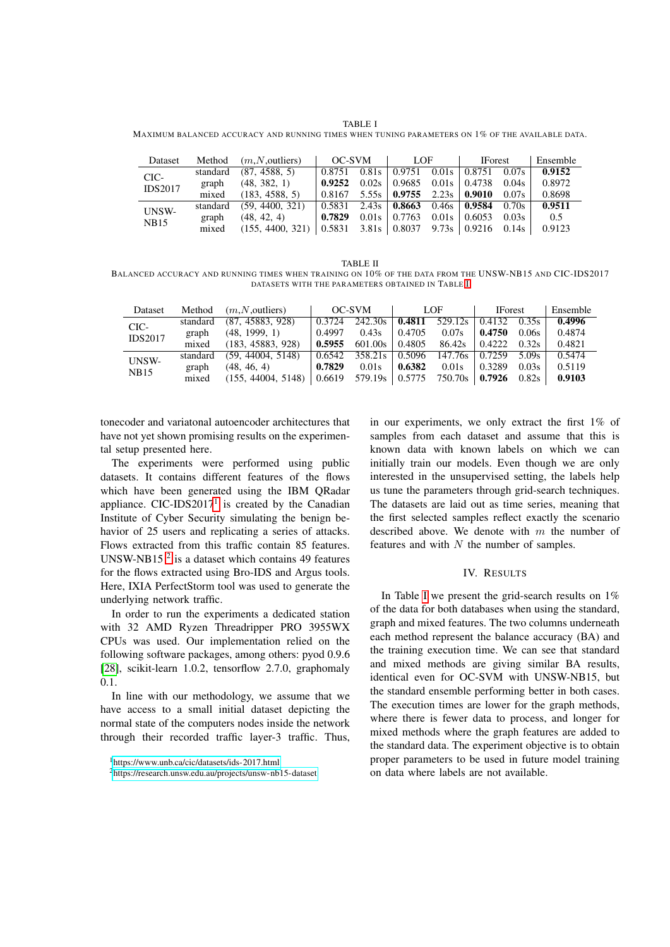TABLE I

<span id="page-3-1"></span>MAXIMUM BALANCED ACCURACY AND RUNNING TIMES WHEN TUNING PARAMETERS ON 1% OF THE AVAILABLE DATA.

| Dataset                |          | Method $(m, N,$ outliers) | OC-SVM                                                                             | $\overline{1}$ LOF | <b>IForest</b>                                                   | Ensemble |
|------------------------|----------|---------------------------|------------------------------------------------------------------------------------|--------------------|------------------------------------------------------------------|----------|
| CIC-<br><b>IDS2017</b> | standard | (87, 4588, 5)             |                                                                                    |                    | $0.8751$ $0.81s$   $0.9751$ $0.01s$   $0.8751$ $0.07s$           | 0.9152   |
|                        |          | graph $(48, 382, 1)$      |                                                                                    |                    |                                                                  | 0.8972   |
|                        |          | mixed (183, 4588, 5)      |                                                                                    |                    | $0.8167$ 5.55s $\vert$ 0.9755 2.23s $\vert$ 0.9010 0.07s $\vert$ | 0.8698   |
| UNSW-<br><b>NB15</b>   |          | standard (59, 4400, 321)  |                                                                                    |                    | $0.5831$ $2.43s$   <b>0.8663</b> $0.46s$   <b>0.9584</b> $0.70s$ | 0.9511   |
|                        |          | graph $(48, 42, 4)$       | 0.7829                                                                             |                    | $0.01s$   0.7763 0.01s   0.6053 0.03s                            | 0.5      |
|                        | mixed    | (155, 4400, 321)          | $\vert 0.5831 \vert 3.81s \vert 0.8037 \vert 9.73s \vert 0.9216 \vert 0.14s \vert$ |                    |                                                                  | 0.9123   |

<span id="page-3-4"></span>TABLE II BALANCED ACCURACY AND RUNNING TIMES WHEN TRAINING ON 10% OF THE DATA FROM THE UNSW-NB15 AND CIC-IDS2017 DATASETS WITH THE PARAMETERS OBTAINED IN TABLE [I](#page-3-1)

| Dataset        |       | Method $(m, N,$ outliers)  | OC-SVM |                                                                                                 | LOF                                              | <b>IForest</b> |       | Ensemble |
|----------------|-------|----------------------------|--------|-------------------------------------------------------------------------------------------------|--------------------------------------------------|----------------|-------|----------|
| CIC-           |       | standard (87, 45883, 928)  | 0.3724 | $242.30s$   0.4811 529.12s   0.4132 0.35s                                                       |                                                  |                |       | 0.4996   |
| <b>IDS2017</b> |       | graph (48, 1999, 1)        | 0.4997 | 0.43s                                                                                           | $\vert 0.4705 \vert 0.07$ s $\vert 0.4750 \vert$ |                | 0.06s | 0.4874   |
|                | mixed | (183, 45883, 928)          | 0.5955 |                                                                                                 | $601.00s$   0.4805  86.42s   0.4222  0.32s       |                |       | 0.4821   |
| UNSW-<br>NB15  |       | standard (59, 44004, 5148) |        | $0.6542$ 358.21s $\vert 0.5096$ 147.76s $\vert 0.7259$ 5.09s $\vert$                            |                                                  |                |       | 0.5474   |
|                | graph | (48, 46, 4)                | 0.7829 |                                                                                                 | $0.01s$   0.6382 0.01s   0.3289                  |                | 0.03s | 0.5119   |
|                | mixed | (155, 44004, 5148)         |        | $\vert$ 0.6619 579.19s $\vert$ 0.5775 750.70s $\vert$ <b>0.7926</b> 0.82s $\vert$ <b>0.9103</b> |                                                  |                |       |          |

tonecoder and variatonal autoencoder architectures that have not yet shown promising results on the experimental setup presented here.

The experiments were performed using public datasets. It contains different features of the flows which have been generated using the IBM QRadar appliance. CIC-IDS20[1](#page-3-2)7<sup>1</sup> is created by the Canadian Institute of Cyber Security simulating the benign behavior of 25 users and replicating a series of attacks. Flows extracted from this traffic contain 85 features. UNSW-NB15 $^2$  $^2$  is a dataset which contains 49 features for the flows extracted using Bro-IDS and Argus tools. Here, IXIA PerfectStorm tool was used to generate the underlying network traffic.

In order to run the experiments a dedicated station with 32 AMD Ryzen Threadripper PRO 3955WX CPUs was used. Our implementation relied on the following software packages, among others: pyod 0.9.6 [\[28\]](#page-5-23), scikit-learn 1.0.2, tensorflow 2.7.0, graphomaly 0.1.

In line with our methodology, we assume that we have access to a small initial dataset depicting the normal state of the computers nodes inside the network through their recorded traffic layer-3 traffic. Thus, in our experiments, we only extract the first 1% of samples from each dataset and assume that this is known data with known labels on which we can initially train our models. Even though we are only interested in the unsupervised setting, the labels help us tune the parameters through grid-search techniques. The datasets are laid out as time series, meaning that the first selected samples reflect exactly the scenario described above. We denote with  $m$  the number of features and with  $N$  the number of samples.

# IV. RESULTS

<span id="page-3-0"></span>In Table [I](#page-3-1) we present the grid-search results on 1% of the data for both databases when using the standard, graph and mixed features. The two columns underneath each method represent the balance accuracy (BA) and the training execution time. We can see that standard and mixed methods are giving similar BA results, identical even for OC-SVM with UNSW-NB15, but the standard ensemble performing better in both cases. The execution times are lower for the graph methods, where there is fewer data to process, and longer for mixed methods where the graph features are added to the standard data. The experiment objective is to obtain proper parameters to be used in future model training on data where labels are not available.

<span id="page-3-2"></span><sup>1</sup><https://www.unb.ca/cic/datasets/ids-2017.html>

<span id="page-3-3"></span><sup>2</sup><https://research.unsw.edu.au/projects/unsw-nb15-dataset>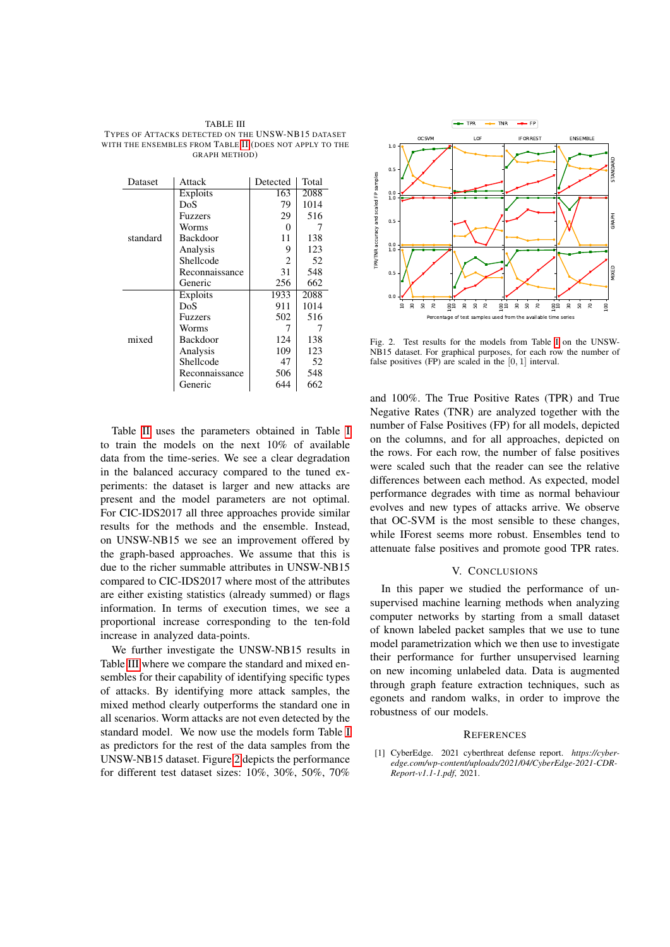<span id="page-4-1"></span>

| TABLE III                                               |
|---------------------------------------------------------|
| TYPES OF ATTACKS DETECTED ON THE UNSW-NB15 DATASET      |
| WITH THE ENSEMBLES FROM TABLE II (DOES NOT APPLY TO THE |
| <b>GRAPH METHOD</b> )                                   |

| Dataset  | Attack          | Detected | Total |
|----------|-----------------|----------|-------|
|          | Exploits        | 163      | 2088  |
|          | DoS             | 79       | 1014  |
|          | Fuzzers         | 29       | 516   |
|          | Worms           | 0        |       |
| standard | Backdoor        | 11       | 138   |
|          | Analysis        | 9        | 123   |
|          | Shellcode       | 2        | 52    |
|          | Reconnaissance  | 31       | 548   |
|          | Generic         | 256      | 662   |
|          | Exploits        | 1933     | 2088  |
|          | DoS             | 911      | 1014  |
|          | Fuzzers         | 502      | 516   |
|          | Worms           | 7        |       |
| mixed    | <b>Backdoor</b> | 124      | 138   |
|          | Analysis        | 109      | 123   |
|          | Shellcode       | 47       | 52    |
|          | Reconnaissance  | 506      | 548   |
|          | Generic         | 644      | 662   |

Table [II](#page-3-4) uses the parameters obtained in Table [I](#page-3-1) to train the models on the next 10% of available data from the time-series. We see a clear degradation in the balanced accuracy compared to the tuned experiments: the dataset is larger and new attacks are present and the model parameters are not optimal. For CIC-IDS2017 all three approaches provide similar results for the methods and the ensemble. Instead, on UNSW-NB15 we see an improvement offered by the graph-based approaches. We assume that this is due to the richer summable attributes in UNSW-NB15 compared to CIC-IDS2017 where most of the attributes are either existing statistics (already summed) or flags information. In terms of execution times, we see a proportional increase corresponding to the ten-fold increase in analyzed data-points.

We further investigate the UNSW-NB15 results in Table [III](#page-4-1) where we compare the standard and mixed ensembles for their capability of identifying specific types of attacks. By identifying more attack samples, the mixed method clearly outperforms the standard one in all scenarios. Worm attacks are not even detected by the standard model. We now use the models form Table [I](#page-3-1) as predictors for the rest of the data samples from the UNSW-NB15 dataset. Figure [2](#page-4-2) depicts the performance for different test dataset sizes: 10%, 30%, 50%, 70%



<span id="page-4-2"></span>Fig. 2. Test results for the models from Table [I](#page-3-1) on the HNSW-NB15 dataset. For graphical purposes, for each row the number of false positives (FP) are scaled in the [0, 1] interval.

and 100%. The True Positive Rates (TPR) and True Negative Rates (TNR) are analyzed together with the number of False Positives (FP) for all models, depicted on the columns, and for all approaches, depicted on the rows. For each row, the number of false positives were scaled such that the reader can see the relative differences between each method. As expected, model performance degrades with time as normal behaviour evolves and new types of attacks arrive. We observe that OC-SVM is the most sensible to these changes, while IForest seems more robust. Ensembles tend to attenuate false positives and promote good TPR rates.

## V. CONCLUSIONS

In this paper we studied the performance of unsupervised machine learning methods when analyzing computer networks by starting from a small dataset of known labeled packet samples that we use to tune model parametrization which we then use to investigate their performance for further unsupervised learning on new incoming unlabeled data. Data is augmented through graph feature extraction techniques, such as egonets and random walks, in order to improve the robustness of our models.

#### **REFERENCES**

<span id="page-4-0"></span>[1] CyberEdge. 2021 cyberthreat defense report. *https://cyberedge.com/wp-content/uploads/2021/04/CyberEdge-2021-CDR-Report-v1.1-1.pdf*, 2021.